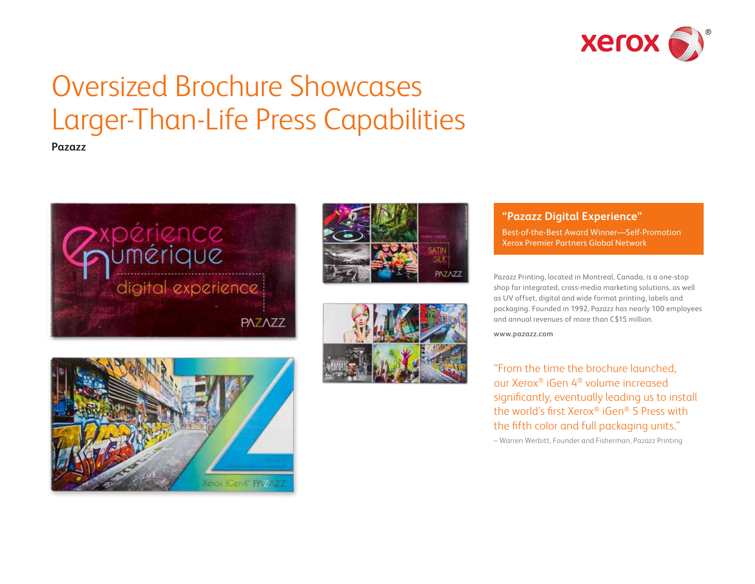

# Oversized Brochure Showcases Larger-Than-Life Press Capabilities

**Pazazz**







### **"Pazazz Digital Experience"**

Best-of-the-Best Award Winner—Self-Promotion Xerox Premier Partners Global Network

Pazazz Printing, located in Montreal, Canada, is a one-stop shop for integrated, cross-media marketing solutions, as well as UV offset, digital and wide format printing, labels and packaging. Founded in 1992, Pazazz has nearly 100 employees and annual revenues of more than C\$15 million.

**[www.pazazz.com](http://www.pazazz.com)**

"From the time the brochure launched, our Xerox® iGen 4® volume increased significantly, eventually leading us to install the world's first Xerox® iGen® 5 Press with the fifth color and full packaging units."

– Warren Werbitt, Founder and Fisherman, Pazazz Printing